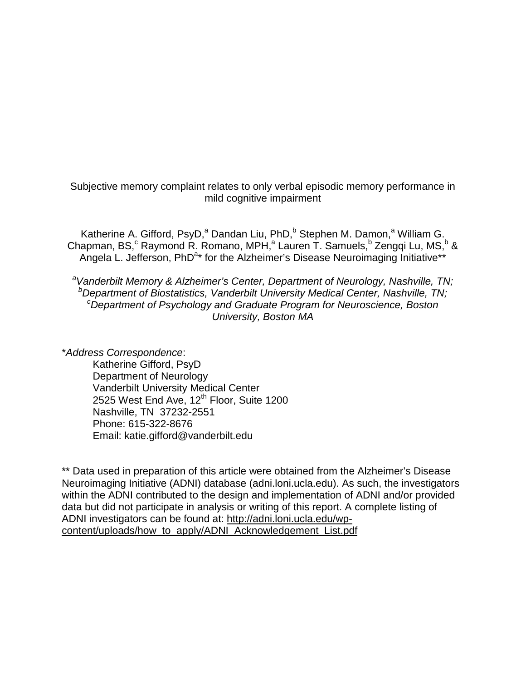Subjective memory complaint relates to only verbal episodic memory performance in mild cognitive impairment

Katherine A. Gifford, PsyD,<sup>a</sup> Dandan Liu, PhD,<sup>b</sup> Stephen M. Damon,<sup>a</sup> William G. Chapman, BS,<sup>c</sup> Raymond R. Romano, MPH,<sup>a</sup> Lauren T. Samuels,<sup>b</sup> Zengqi Lu, MS,<sup>b</sup> & Angela L. Jefferson, PhD<sup>a\*</sup> for the Alzheimer's Disease Neuroimaging Initiative\*\*

a Vanderbilt Memory & Alzheimer's Center, Department of Neurology, Nashville, TN;<br>b Department of Biostatistics, Vanderbilt University Medical Center, Nashville, TN; *Department of Biostatistics, Vanderbilt University Medical Center, Nashville, TN; c Department of Psychology and Graduate Program for Neuroscience, Boston University, Boston MA*

\**Address Correspondence*: Katherine Gifford, PsyD Department of Neurology Vanderbilt University Medical Center 2525 West End Ave,  $12<sup>th</sup>$  Floor, Suite 1200 Nashville, TN 37232-2551 Phone: 615-322-8676 Email: katie.gifford@vanderbilt.edu

\*\* Data used in preparation of this article were obtained from the Alzheimer's Disease Neuroimaging Initiative (ADNI) database (adni.loni.ucla.edu). As such, the investigators within the ADNI contributed to the design and implementation of ADNI and/or provided data but did not participate in analysis or writing of this report. A complete listing of ADNI investigators can be found at: [http://adni.loni.ucla.edu/wp](http://adni.loni.ucla.edu/wp-content/uploads/how_to_apply/ADNI_Acknowledgement_List.pdf)[content/uploads/how\\_to\\_apply/ADNI\\_Acknowledgement\\_List.pdf](http://adni.loni.ucla.edu/wp-content/uploads/how_to_apply/ADNI_Acknowledgement_List.pdf)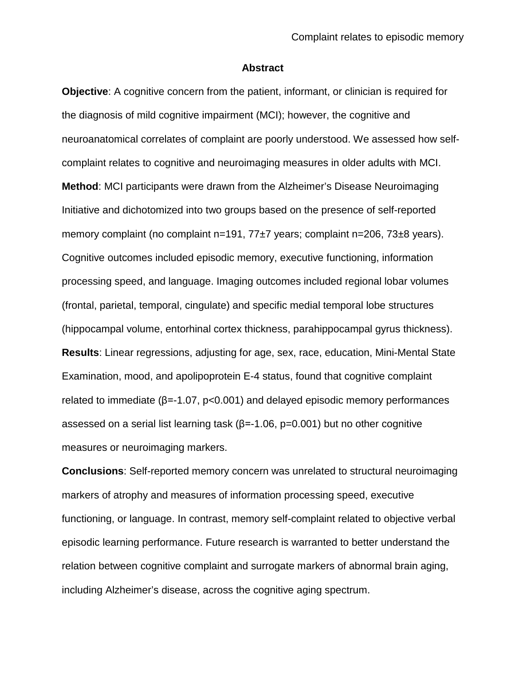#### **Abstract**

**Objective:** A cognitive concern from the patient, informant, or clinician is required for the diagnosis of mild cognitive impairment (MCI); however, the cognitive and neuroanatomical correlates of complaint are poorly understood. We assessed how selfcomplaint relates to cognitive and neuroimaging measures in older adults with MCI. **Method**: MCI participants were drawn from the Alzheimer's Disease Neuroimaging Initiative and dichotomized into two groups based on the presence of self-reported memory complaint (no complaint n=191, 77±7 years; complaint n=206, 73±8 years). Cognitive outcomes included episodic memory, executive functioning, information processing speed, and language. Imaging outcomes included regional lobar volumes (frontal, parietal, temporal, cingulate) and specific medial temporal lobe structures (hippocampal volume, entorhinal cortex thickness, parahippocampal gyrus thickness). **Results**: Linear regressions, adjusting for age, sex, race, education, Mini-Mental State Examination, mood, and apolipoprotein E-4 status, found that cognitive complaint related to immediate (β=-1.07, p<0.001) and delayed episodic memory performances assessed on a serial list learning task ( $β = -1.06$ ,  $p = 0.001$ ) but no other cognitive measures or neuroimaging markers.

**Conclusions**: Self-reported memory concern was unrelated to structural neuroimaging markers of atrophy and measures of information processing speed, executive functioning, or language. In contrast, memory self-complaint related to objective verbal episodic learning performance. Future research is warranted to better understand the relation between cognitive complaint and surrogate markers of abnormal brain aging, including Alzheimer's disease, across the cognitive aging spectrum.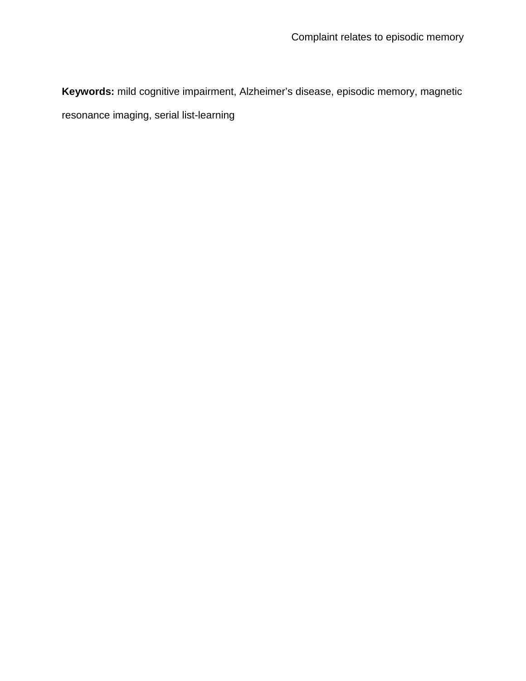**Keywords:** mild cognitive impairment, Alzheimer's disease, episodic memory, magnetic resonance imaging, serial list-learning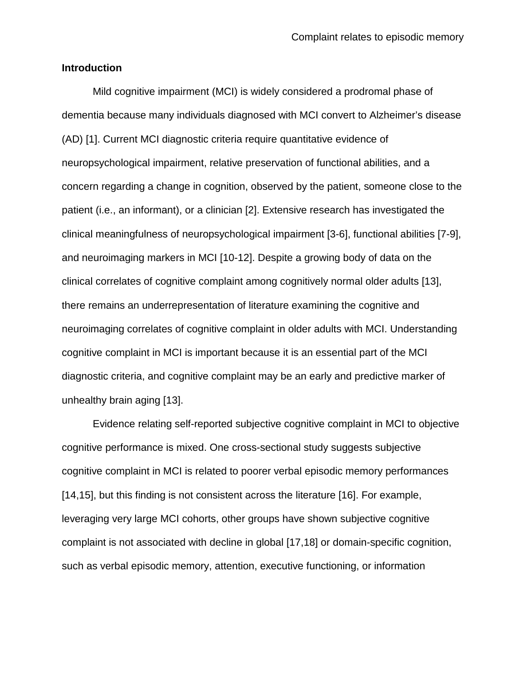#### **Introduction**

Mild cognitive impairment (MCI) is widely considered a prodromal phase of dementia because many individuals diagnosed with MCI convert to Alzheimer's disease (AD) [\[1\]](#page-21-0). Current MCI diagnostic criteria require quantitative evidence of neuropsychological impairment, relative preservation of functional abilities, and a concern regarding a change in cognition, observed by the patient, someone close to the patient (i.e., an informant), or a clinician [\[2\]](#page-21-1). Extensive research has investigated the clinical meaningfulness of neuropsychological impairment [\[3-6\]](#page-21-2), functional abilities [\[7-9\]](#page-22-0), and neuroimaging markers in MCI [\[10-12\]](#page-22-1). Despite a growing body of data on the clinical correlates of cognitive complaint among cognitively normal older adults [\[13\]](#page-22-2), there remains an underrepresentation of literature examining the cognitive and neuroimaging correlates of cognitive complaint in older adults with MCI. Understanding cognitive complaint in MCI is important because it is an essential part of the MCI diagnostic criteria, and cognitive complaint may be an early and predictive marker of unhealthy brain aging [\[13\]](#page-22-2).

Evidence relating self-reported subjective cognitive complaint in MCI to objective cognitive performance is mixed. One cross-sectional study suggests subjective cognitive complaint in MCI is related to poorer verbal episodic memory performances [\[14,](#page-23-0)[15\]](#page-23-1), but this finding is not consistent across the literature [\[16\]](#page-23-2). For example, leveraging very large MCI cohorts, other groups have shown subjective cognitive complaint is not associated with decline in global [\[17](#page-23-3)[,18\]](#page-23-4) or domain-specific cognition, such as verbal episodic memory, attention, executive functioning, or information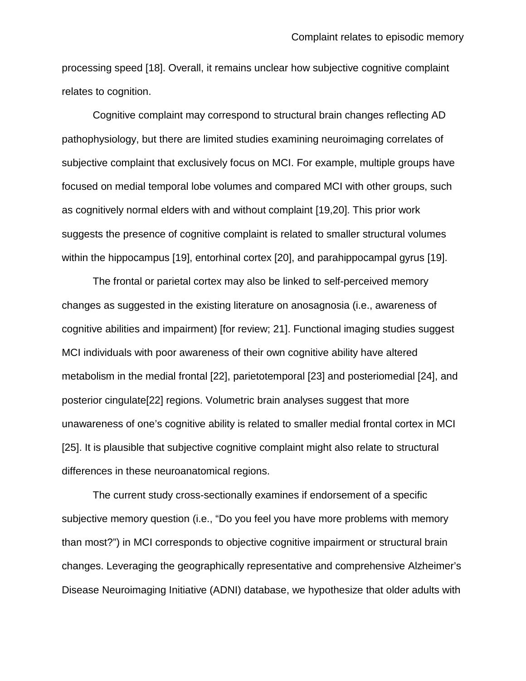processing speed [\[18\]](#page-23-4). Overall, it remains unclear how subjective cognitive complaint relates to cognition.

Cognitive complaint may correspond to structural brain changes reflecting AD pathophysiology, but there are limited studies examining neuroimaging correlates of subjective complaint that exclusively focus on MCI. For example, multiple groups have focused on medial temporal lobe volumes and compared MCI with other groups, such as cognitively normal elders with and without complaint [\[19](#page-24-0)[,20\]](#page-24-1). This prior work suggests the presence of cognitive complaint is related to smaller structural volumes within the hippocampus [\[19\]](#page-24-0), entorhinal cortex [\[20\]](#page-24-1), and parahippocampal gyrus [\[19\]](#page-24-0).

The frontal or parietal cortex may also be linked to self-perceived memory changes as suggested in the existing literature on anosagnosia (i.e., awareness of cognitive abilities and impairment) [\[for review; 21\]](#page-24-2). Functional imaging studies suggest MCI individuals with poor awareness of their own cognitive ability have altered metabolism in the medial frontal [\[22\]](#page-24-3), parietotemporal [\[23\]](#page-24-4) and posteriomedial [\[24\]](#page-24-5), and posterior cingulate[\[22\]](#page-24-3) regions. Volumetric brain analyses suggest that more unawareness of one's cognitive ability is related to smaller medial frontal cortex in MCI [\[25\]](#page-24-6). It is plausible that subjective cognitive complaint might also relate to structural differences in these neuroanatomical regions.

The current study cross-sectionally examines if endorsement of a specific subjective memory question (i.e., "Do you feel you have more problems with memory than most?") in MCI corresponds to objective cognitive impairment or structural brain changes. Leveraging the geographically representative and comprehensive Alzheimer's Disease Neuroimaging Initiative (ADNI) database, we hypothesize that older adults with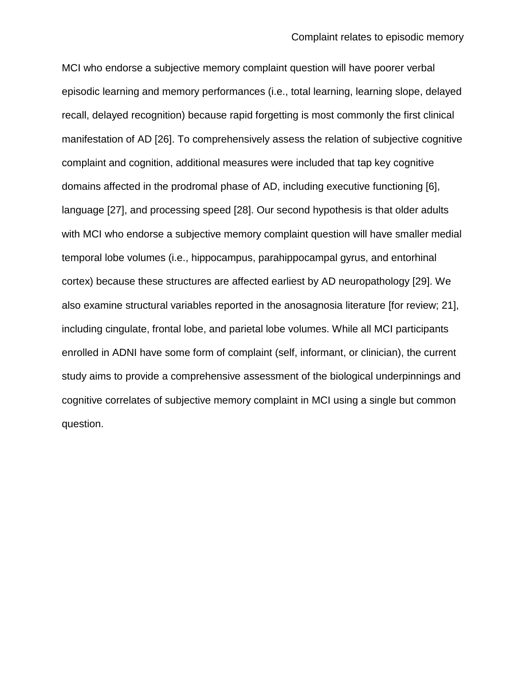MCI who endorse a subjective memory complaint question will have poorer verbal episodic learning and memory performances (i.e., total learning, learning slope, delayed recall, delayed recognition) because rapid forgetting is most commonly the first clinical manifestation of AD [\[26\]](#page-25-0). To comprehensively assess the relation of subjective cognitive complaint and cognition, additional measures were included that tap key cognitive domains affected in the prodromal phase of AD, including executive functioning [\[6\]](#page-21-3), language [\[27\]](#page-25-1), and processing speed [\[28\]](#page-25-2). Our second hypothesis is that older adults with MCI who endorse a subjective memory complaint question will have smaller medial temporal lobe volumes (i.e., hippocampus, parahippocampal gyrus, and entorhinal cortex) because these structures are affected earliest by AD neuropathology [\[29\]](#page-25-3). We also examine structural variables reported in the anosagnosia literature [\[for review; 21\]](#page-24-2), including cingulate, frontal lobe, and parietal lobe volumes. While all MCI participants enrolled in ADNI have some form of complaint (self, informant, or clinician), the current study aims to provide a comprehensive assessment of the biological underpinnings and cognitive correlates of subjective memory complaint in MCI using a single but common question.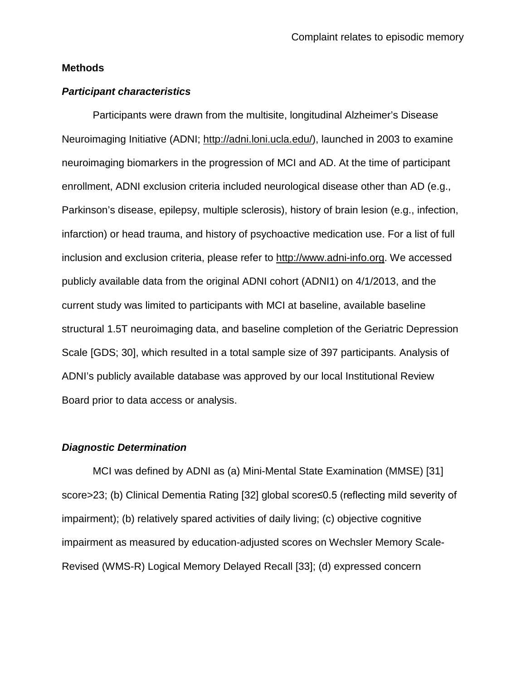#### **Methods**

#### *Participant characteristics*

Participants were drawn from the multisite, longitudinal Alzheimer's Disease Neuroimaging Initiative (ADNI; [http://adni.loni.ucla.edu/\)](http://adni.loni.ucla.edu/), launched in 2003 to examine neuroimaging biomarkers in the progression of MCI and AD. At the time of participant enrollment, ADNI exclusion criteria included neurological disease other than AD (e.g., Parkinson's disease, epilepsy, multiple sclerosis), history of brain lesion (e.g., infection, infarction) or head trauma, and history of psychoactive medication use. For a list of full inclusion and exclusion criteria, please refer to [http://www.adni-info.org.](http://www.adni-info.org/) We accessed publicly available data from the original ADNI cohort (ADNI1) on 4/1/2013, and the current study was limited to participants with MCI at baseline, available baseline structural 1.5T neuroimaging data, and baseline completion of the Geriatric Depression Scale [\[GDS; 30\]](#page-25-4), which resulted in a total sample size of 397 participants. Analysis of ADNI's publicly available database was approved by our local Institutional Review Board prior to data access or analysis.

#### *Diagnostic Determination*

MCI was defined by ADNI as (a) Mini-Mental State Examination (MMSE) [\[31\]](#page-25-5) score>23; (b) Clinical Dementia Rating [\[32\]](#page-25-6) global score≤0.5 (reflecting mild severity of impairment); (b) relatively spared activities of daily living; (c) objective cognitive impairment as measured by education-adjusted scores on Wechsler Memory Scale-Revised (WMS-R) Logical Memory Delayed Recall [\[33\]](#page-25-7); (d) expressed concern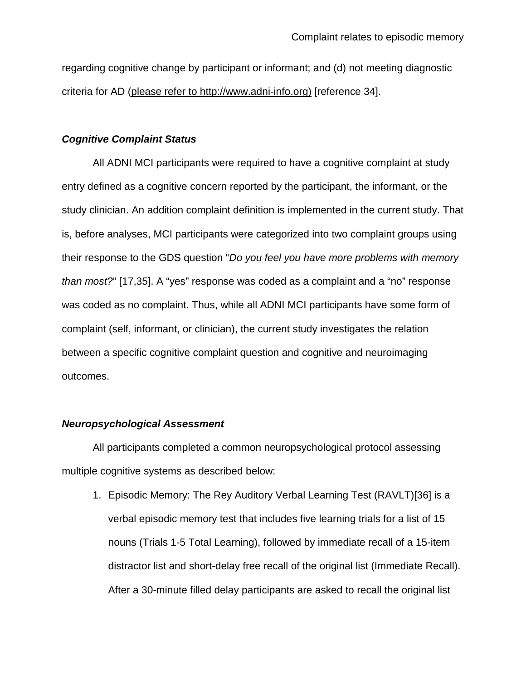regarding cognitive change by participant or informant; and (d) not meeting diagnostic criteria for AD (please refer to http://www.adni-info.org) [\[reference 34\]](#page-25-8).

## *Cognitive Complaint Status*

All ADNI MCI participants were required to have a cognitive complaint at study entry defined as a cognitive concern reported by the participant, the informant, or the study clinician. An addition complaint definition is implemented in the current study. That is, before analyses, MCI participants were categorized into two complaint groups using their response to the GDS question "*Do you feel you have more problems with memory than most?*" [\[17](#page-23-3)[,35\]](#page-26-0). A "yes" response was coded as a complaint and a "no" response was coded as no complaint. Thus, while all ADNI MCI participants have some form of complaint (self, informant, or clinician), the current study investigates the relation between a specific cognitive complaint question and cognitive and neuroimaging outcomes.

#### *Neuropsychological Assessment*

All participants completed a common neuropsychological protocol assessing multiple cognitive systems as described below:

1. Episodic Memory: The Rey Auditory Verbal Learning Test (RAVLT)[\[36\]](#page-26-1) is a verbal episodic memory test that includes five learning trials for a list of 15 nouns (Trials 1-5 Total Learning), followed by immediate recall of a 15-item distractor list and short-delay free recall of the original list (Immediate Recall). After a 30-minute filled delay participants are asked to recall the original list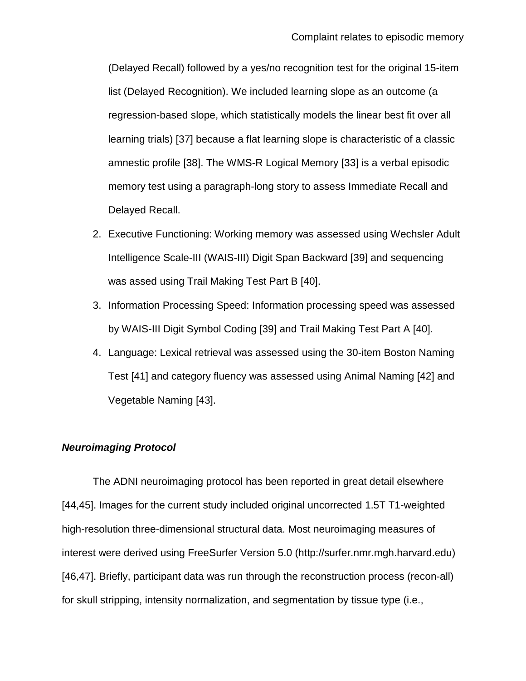(Delayed Recall) followed by a yes/no recognition test for the original 15-item list (Delayed Recognition). We included learning slope as an outcome (a regression-based slope, which statistically models the linear best fit over all learning trials) [\[37\]](#page-26-2) because a flat learning slope is characteristic of a classic amnestic profile [\[38\]](#page-26-3). The WMS-R Logical Memory [\[33\]](#page-25-7) is a verbal episodic memory test using a paragraph-long story to assess Immediate Recall and Delayed Recall.

- 2. Executive Functioning: Working memory was assessed using Wechsler Adult Intelligence Scale-III (WAIS-III) Digit Span Backward [\[39\]](#page-26-4) and sequencing was assed using Trail Making Test Part B [\[40\]](#page-26-5).
- 3. Information Processing Speed: Information processing speed was assessed by WAIS-III Digit Symbol Coding [\[39\]](#page-26-4) and Trail Making Test Part A [\[40\]](#page-26-5).
- 4. Language: Lexical retrieval was assessed using the 30-item Boston Naming Test [\[41\]](#page-26-6) and category fluency was assessed using Animal Naming [\[42\]](#page-26-7) and Vegetable Naming [\[43\]](#page-26-8).

# *Neuroimaging Protocol*

The ADNI neuroimaging protocol has been reported in great detail elsewhere [\[44,](#page-27-0)[45\]](#page-27-1). Images for the current study included original uncorrected 1.5T T1-weighted high-resolution three-dimensional structural data. Most neuroimaging measures of interest were derived using FreeSurfer Version 5.0 (http://surfer.nmr.mgh.harvard.edu) [\[46,](#page-27-2)[47\]](#page-27-3). Briefly, participant data was run through the reconstruction process (recon-all) for skull stripping, intensity normalization, and segmentation by tissue type (i.e.,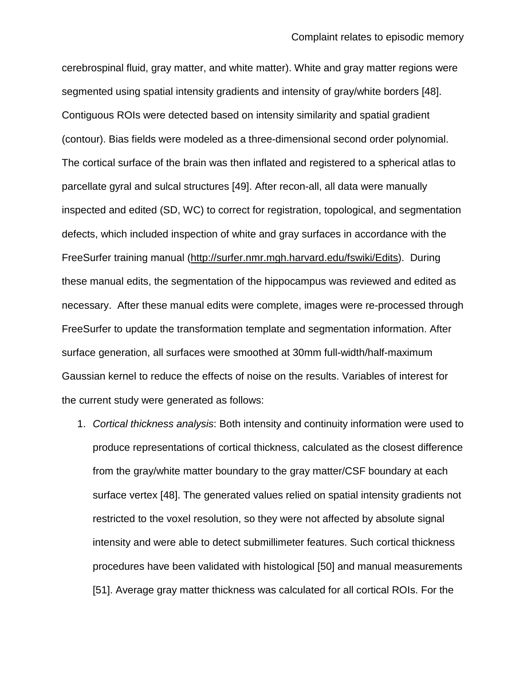cerebrospinal fluid, gray matter, and white matter). White and gray matter regions were segmented using spatial intensity gradients and intensity of gray/white borders [\[48\]](#page-27-4). Contiguous ROIs were detected based on intensity similarity and spatial gradient (contour). Bias fields were modeled as a three-dimensional second order polynomial. The cortical surface of the brain was then inflated and registered to a spherical atlas to parcellate gyral and sulcal structures [\[49\]](#page-27-5). After recon-all, all data were manually inspected and edited (SD, WC) to correct for registration, topological, and segmentation defects, which included inspection of white and gray surfaces in accordance with the FreeSurfer training manual [\(http://surfer.nmr.mgh.harvard.edu/fswiki/Edits\)](http://surfer.nmr.mgh.harvard.edu/fswiki/Edits). During these manual edits, the segmentation of the hippocampus was reviewed and edited as necessary. After these manual edits were complete, images were re-processed through FreeSurfer to update the transformation template and segmentation information. After surface generation, all surfaces were smoothed at 30mm full-width/half-maximum Gaussian kernel to reduce the effects of noise on the results. Variables of interest for the current study were generated as follows:

1. *Cortical thickness analysis*: Both intensity and continuity information were used to produce representations of cortical thickness, calculated as the closest difference from the gray/white matter boundary to the gray matter/CSF boundary at each surface vertex [\[48\]](#page-27-4). The generated values relied on spatial intensity gradients not restricted to the voxel resolution, so they were not affected by absolute signal intensity and were able to detect submillimeter features. Such cortical thickness procedures have been validated with histological [\[50\]](#page-28-0) and manual measurements [\[51\]](#page-28-1). Average gray matter thickness was calculated for all cortical ROIs. For the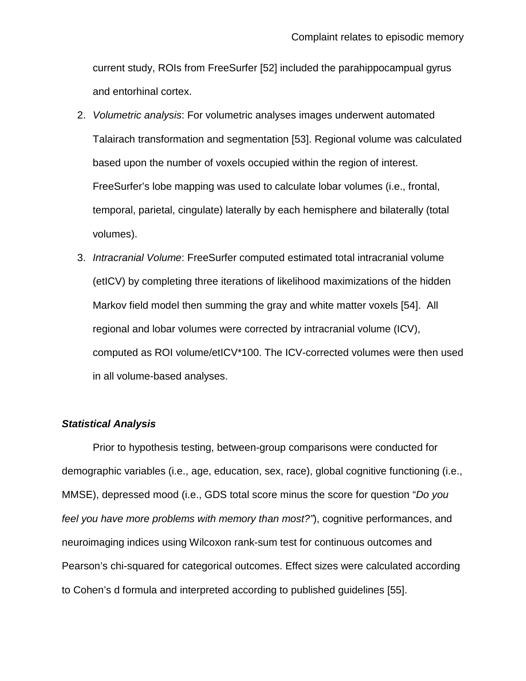current study, ROIs from FreeSurfer [\[52\]](#page-28-2) included the parahippocampual gyrus and entorhinal cortex.

- 2. *Volumetric analysis*: For volumetric analyses images underwent automated Talairach transformation and segmentation [\[53\]](#page-28-3). Regional volume was calculated based upon the number of voxels occupied within the region of interest. FreeSurfer's lobe mapping was used to calculate lobar volumes (i.e., frontal, temporal, parietal, cingulate) laterally by each hemisphere and bilaterally (total volumes).
- 3. *Intracranial Volume*: FreeSurfer computed estimated total intracranial volume (etICV) by completing three iterations of likelihood maximizations of the hidden Markov field model then summing the gray and white matter voxels [\[54\]](#page-28-4). All regional and lobar volumes were corrected by intracranial volume (ICV), computed as ROI volume/etICV\*100. The ICV-corrected volumes were then used in all volume-based analyses.

# *Statistical Analysis*

Prior to hypothesis testing, between-group comparisons were conducted for demographic variables (i.e., age, education, sex, race), global cognitive functioning (i.e., MMSE), depressed mood (i.e., GDS total score minus the score for question "*Do you feel you have more problems with memory than most?"*), cognitive performances, and neuroimaging indices using Wilcoxon rank-sum test for continuous outcomes and Pearson's chi-squared for categorical outcomes. Effect sizes were calculated according to Cohen's d formula and interpreted according to published guidelines [\[55\]](#page-28-5).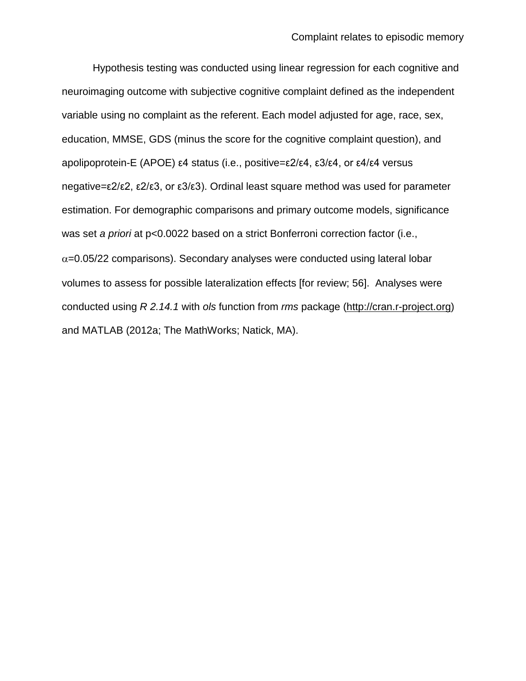Hypothesis testing was conducted using linear regression for each cognitive and neuroimaging outcome with subjective cognitive complaint defined as the independent variable using no complaint as the referent. Each model adjusted for age, race, sex, education, MMSE, GDS (minus the score for the cognitive complaint question), and apolipoprotein-E (APOE) ε4 status (i.e., positive=ε2/ε4, ε3/ε4, or ε4/ε4 versus negative=ε2/ε2, ε2/ε3, or ε3/ε3). Ordinal least square method was used for parameter estimation. For demographic comparisons and primary outcome models, significance was set *a priori* at p<0.0022 based on a strict Bonferroni correction factor (i.e.,  $\alpha$ =0.05/22 comparisons). Secondary analyses were conducted using lateral lobar volumes to assess for possible lateralization effects [\[for review; 56\]](#page-28-6). Analyses were conducted using *R 2.14.1* with *ols* function from *rms* package [\(http://cran.r-project.org\)](http://cran.r-project.org/) and MATLAB (2012a; The MathWorks; Natick, MA).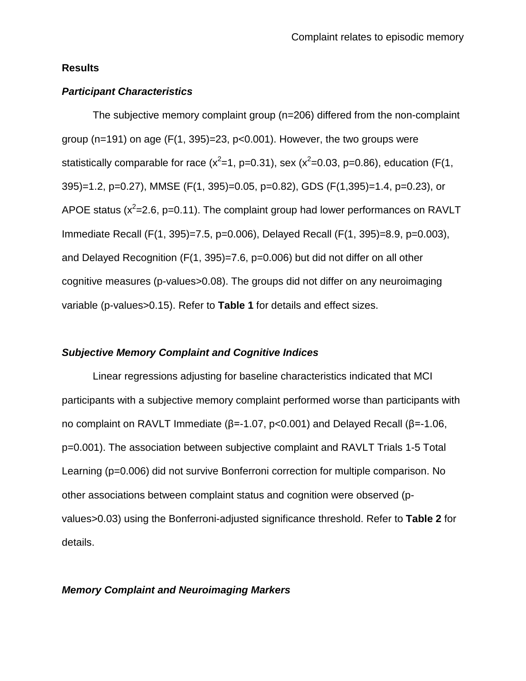#### **Results**

## *Participant Characteristics*

The subjective memory complaint group (n=206) differed from the non-complaint group ( $n=191$ ) on age ( $F(1, 395)=23$ ,  $p<0.001$ ). However, the two groups were statistically comparable for race ( $x^2$ =1, p=0.31), sex ( $x^2$ =0.03, p=0.86), education (F(1, 395)=1.2, p=0.27), MMSE (F(1, 395)=0.05, p=0.82), GDS (F(1,395)=1.4, p=0.23), or APOE status ( $x^2$ =2.6, p=0.11). The complaint group had lower performances on RAVLT Immediate Recall (F(1, 395)=7.5, p=0.006), Delayed Recall (F(1, 395)=8.9, p=0.003), and Delayed Recognition (F(1, 395)=7.6, p=0.006) but did not differ on all other cognitive measures (p-values>0.08). The groups did not differ on any neuroimaging variable (p-values>0.15). Refer to **Table 1** for details and effect sizes.

#### *Subjective Memory Complaint and Cognitive Indices*

Linear regressions adjusting for baseline characteristics indicated that MCI participants with a subjective memory complaint performed worse than participants with no complaint on RAVLT Immediate (β=-1.07, p<0.001) and Delayed Recall (β=-1.06, p=0.001). The association between subjective complaint and RAVLT Trials 1-5 Total Learning (p=0.006) did not survive Bonferroni correction for multiple comparison. No other associations between complaint status and cognition were observed (pvalues>0.03) using the Bonferroni-adjusted significance threshold. Refer to **Table 2** for details.

#### *Memory Complaint and Neuroimaging Markers*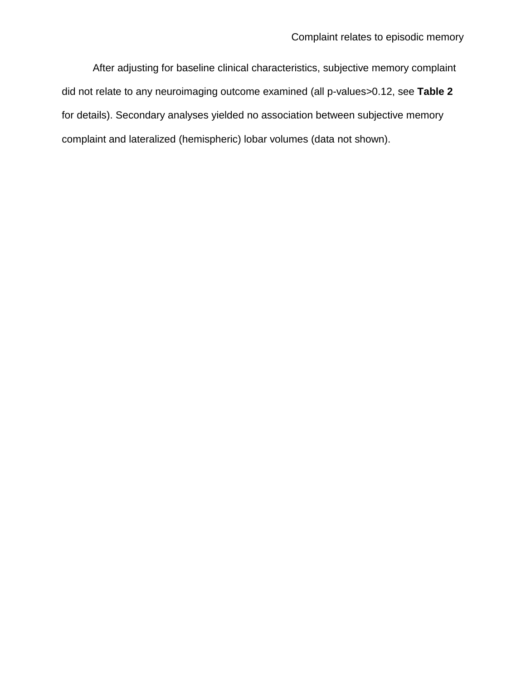After adjusting for baseline clinical characteristics, subjective memory complaint did not relate to any neuroimaging outcome examined (all p-values>0.12, see **Table 2** for details). Secondary analyses yielded no association between subjective memory complaint and lateralized (hemispheric) lobar volumes (data not shown).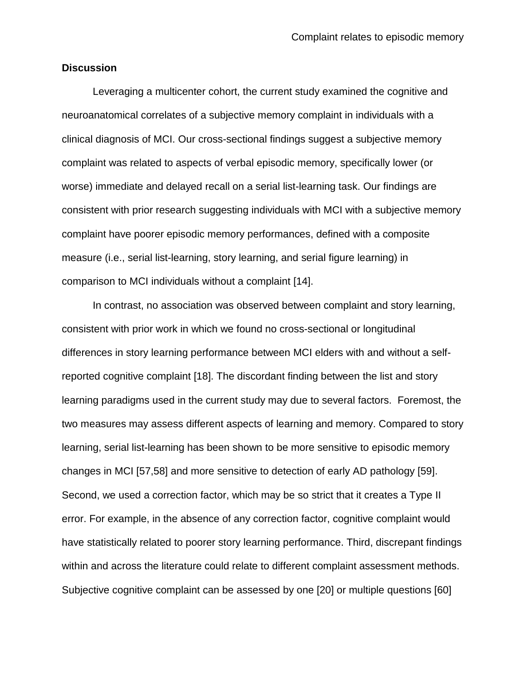#### **Discussion**

Leveraging a multicenter cohort, the current study examined the cognitive and neuroanatomical correlates of a subjective memory complaint in individuals with a clinical diagnosis of MCI. Our cross-sectional findings suggest a subjective memory complaint was related to aspects of verbal episodic memory, specifically lower (or worse) immediate and delayed recall on a serial list-learning task. Our findings are consistent with prior research suggesting individuals with MCI with a subjective memory complaint have poorer episodic memory performances, defined with a composite measure (i.e., serial list-learning, story learning, and serial figure learning) in comparison to MCI individuals without a complaint [\[14\]](#page-23-0).

In contrast, no association was observed between complaint and story learning, consistent with prior work in which we found no cross-sectional or longitudinal differences in story learning performance between MCI elders with and without a selfreported cognitive complaint [\[18\]](#page-23-4). The discordant finding between the list and story learning paradigms used in the current study may due to several factors. Foremost, the two measures may assess different aspects of learning and memory. Compared to story learning, serial list-learning has been shown to be more sensitive to episodic memory changes in MCI [\[57](#page-29-0)[,58\]](#page-29-1) and more sensitive to detection of early AD pathology [\[59\]](#page-29-2). Second, we used a correction factor, which may be so strict that it creates a Type II error. For example, in the absence of any correction factor, cognitive complaint would have statistically related to poorer story learning performance. Third, discrepant findings within and across the literature could relate to different complaint assessment methods. Subjective cognitive complaint can be assessed by one [\[20\]](#page-24-1) or multiple questions [\[60\]](#page-29-3)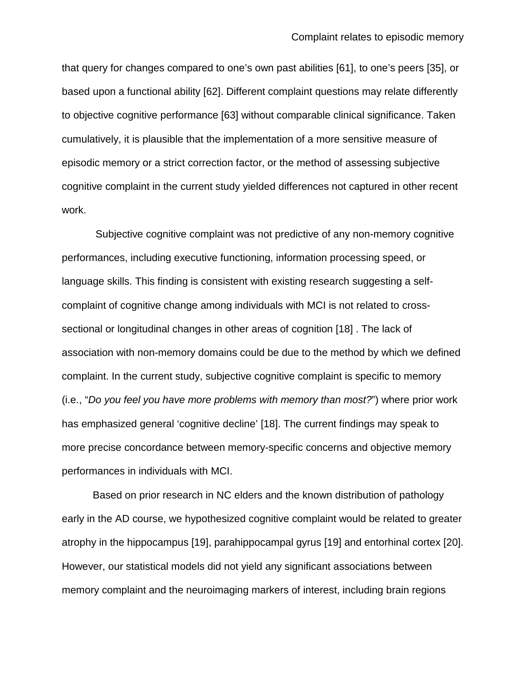that query for changes compared to one's own past abilities [\[61\]](#page-29-4), to one's peers [\[35\]](#page-26-0), or based upon a functional ability [\[62\]](#page-29-5). Different complaint questions may relate differently to objective cognitive performance [\[63\]](#page-29-6) without comparable clinical significance. Taken cumulatively, it is plausible that the implementation of a more sensitive measure of episodic memory or a strict correction factor, or the method of assessing subjective cognitive complaint in the current study yielded differences not captured in other recent work.

Subjective cognitive complaint was not predictive of any non-memory cognitive performances, including executive functioning, information processing speed, or language skills. This finding is consistent with existing research suggesting a selfcomplaint of cognitive change among individuals with MCI is not related to crosssectional or longitudinal changes in other areas of cognition [\[18\]](#page-23-4) . The lack of association with non-memory domains could be due to the method by which we defined complaint. In the current study, subjective cognitive complaint is specific to memory (i.e., "*Do you feel you have more problems with memory than most?*") where prior work has emphasized general 'cognitive decline' [\[18\]](#page-23-4). The current findings may speak to more precise concordance between memory-specific concerns and objective memory performances in individuals with MCI.

Based on prior research in NC elders and the known distribution of pathology early in the AD course, we hypothesized cognitive complaint would be related to greater atrophy in the hippocampus [\[19\]](#page-24-0), parahippocampal gyrus [\[19\]](#page-24-0) and entorhinal cortex [\[20\]](#page-24-1). However, our statistical models did not yield any significant associations between memory complaint and the neuroimaging markers of interest, including brain regions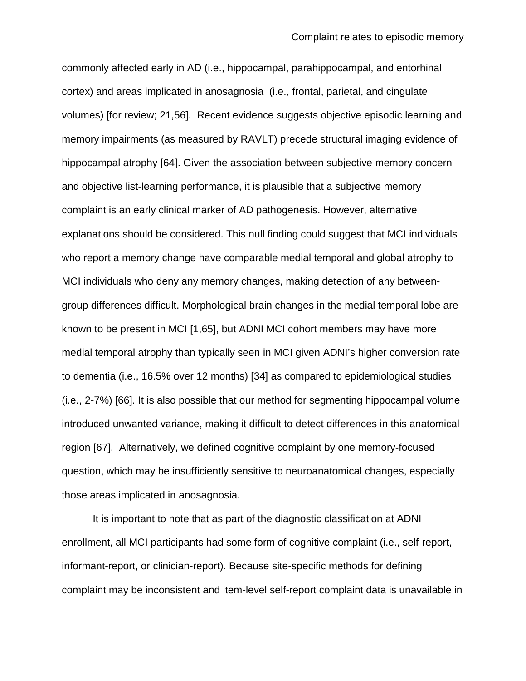commonly affected early in AD (i.e., hippocampal, parahippocampal, and entorhinal cortex) and areas implicated in anosagnosia (i.e., frontal, parietal, and cingulate volumes) [for review; [21](#page-24-2)[,56\]](#page-28-6). Recent evidence suggests objective episodic learning and memory impairments (as measured by RAVLT) precede structural imaging evidence of hippocampal atrophy [\[64\]](#page-30-0). Given the association between subjective memory concern and objective list-learning performance, it is plausible that a subjective memory complaint is an early clinical marker of AD pathogenesis. However, alternative explanations should be considered. This null finding could suggest that MCI individuals who report a memory change have comparable medial temporal and global atrophy to MCI individuals who deny any memory changes, making detection of any betweengroup differences difficult. Morphological brain changes in the medial temporal lobe are known to be present in MCI [\[1](#page-21-0)[,65\]](#page-30-1), but ADNI MCI cohort members may have more medial temporal atrophy than typically seen in MCI given ADNI's higher conversion rate to dementia (i.e., 16.5% over 12 months) [\[34\]](#page-25-8) as compared to epidemiological studies (i.e., 2-7%) [\[66\]](#page-30-2). It is also possible that our method for segmenting hippocampal volume introduced unwanted variance, making it difficult to detect differences in this anatomical region [\[67\]](#page-30-3). Alternatively, we defined cognitive complaint by one memory-focused question, which may be insufficiently sensitive to neuroanatomical changes, especially those areas implicated in anosagnosia.

It is important to note that as part of the diagnostic classification at ADNI enrollment, all MCI participants had some form of cognitive complaint (i.e., self-report, informant-report, or clinician-report). Because site-specific methods for defining complaint may be inconsistent and item-level self-report complaint data is unavailable in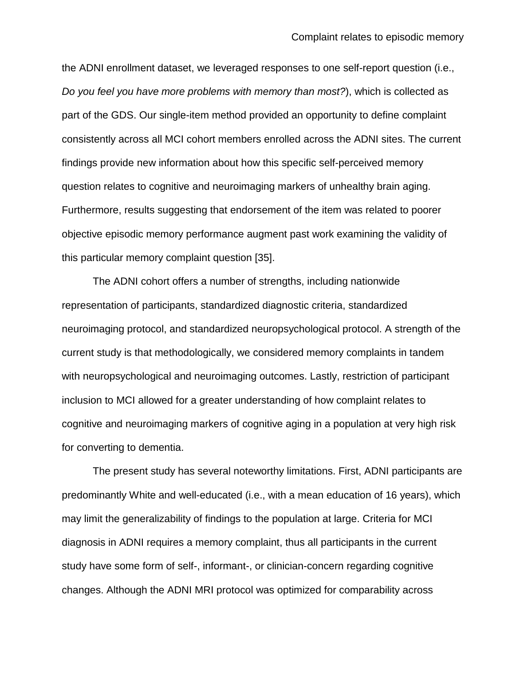the ADNI enrollment dataset, we leveraged responses to one self-report question (i.e., *Do you feel you have more problems with memory than most?*), which is collected as part of the GDS. Our single-item method provided an opportunity to define complaint consistently across all MCI cohort members enrolled across the ADNI sites. The current findings provide new information about how this specific self-perceived memory question relates to cognitive and neuroimaging markers of unhealthy brain aging. Furthermore, results suggesting that endorsement of the item was related to poorer objective episodic memory performance augment past work examining the validity of this particular memory complaint question [\[35\]](#page-26-0).

The ADNI cohort offers a number of strengths, including nationwide representation of participants, standardized diagnostic criteria, standardized neuroimaging protocol, and standardized neuropsychological protocol. A strength of the current study is that methodologically, we considered memory complaints in tandem with neuropsychological and neuroimaging outcomes. Lastly, restriction of participant inclusion to MCI allowed for a greater understanding of how complaint relates to cognitive and neuroimaging markers of cognitive aging in a population at very high risk for converting to dementia.

The present study has several noteworthy limitations. First, ADNI participants are predominantly White and well-educated (i.e., with a mean education of 16 years), which may limit the generalizability of findings to the population at large. Criteria for MCI diagnosis in ADNI requires a memory complaint, thus all participants in the current study have some form of self-, informant-, or clinician-concern regarding cognitive changes. Although the ADNI MRI protocol was optimized for comparability across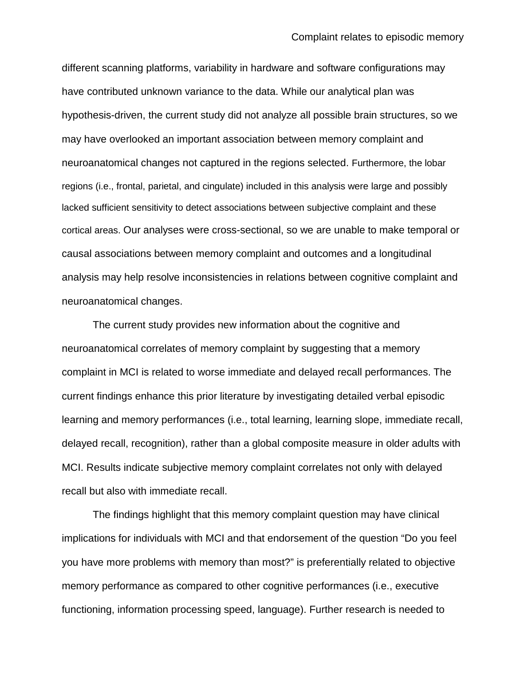different scanning platforms, variability in hardware and software configurations may have contributed unknown variance to the data. While our analytical plan was hypothesis-driven, the current study did not analyze all possible brain structures, so we may have overlooked an important association between memory complaint and neuroanatomical changes not captured in the regions selected. Furthermore, the lobar regions (i.e., frontal, parietal, and cingulate) included in this analysis were large and possibly lacked sufficient sensitivity to detect associations between subjective complaint and these cortical areas. Our analyses were cross-sectional, so we are unable to make temporal or causal associations between memory complaint and outcomes and a longitudinal analysis may help resolve inconsistencies in relations between cognitive complaint and neuroanatomical changes.

The current study provides new information about the cognitive and neuroanatomical correlates of memory complaint by suggesting that a memory complaint in MCI is related to worse immediate and delayed recall performances. The current findings enhance this prior literature by investigating detailed verbal episodic learning and memory performances (i.e., total learning, learning slope, immediate recall, delayed recall, recognition), rather than a global composite measure in older adults with MCI. Results indicate subjective memory complaint correlates not only with delayed recall but also with immediate recall.

The findings highlight that this memory complaint question may have clinical implications for individuals with MCI and that endorsement of the question "Do you feel you have more problems with memory than most?" is preferentially related to objective memory performance as compared to other cognitive performances (i.e., executive functioning, information processing speed, language). Further research is needed to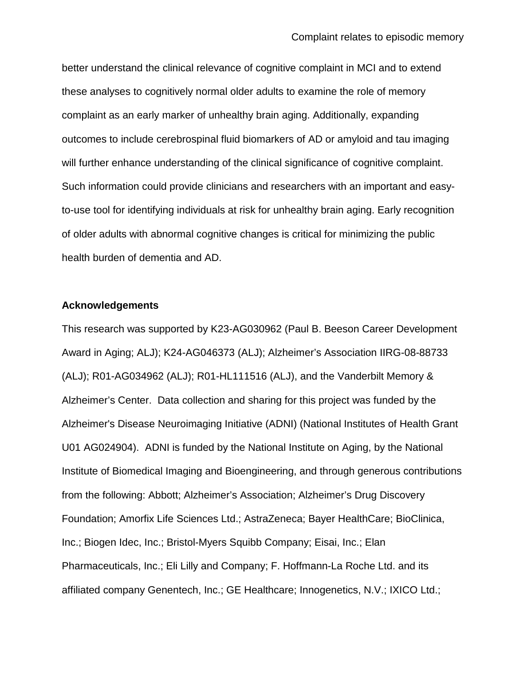better understand the clinical relevance of cognitive complaint in MCI and to extend these analyses to cognitively normal older adults to examine the role of memory complaint as an early marker of unhealthy brain aging. Additionally, expanding outcomes to include cerebrospinal fluid biomarkers of AD or amyloid and tau imaging will further enhance understanding of the clinical significance of cognitive complaint. Such information could provide clinicians and researchers with an important and easyto-use tool for identifying individuals at risk for unhealthy brain aging. Early recognition of older adults with abnormal cognitive changes is critical for minimizing the public health burden of dementia and AD.

#### **Acknowledgements**

This research was supported by K23-AG030962 (Paul B. Beeson Career Development Award in Aging; ALJ); K24-AG046373 (ALJ); Alzheimer's Association IIRG-08-88733 (ALJ); R01-AG034962 (ALJ); R01-HL111516 (ALJ), and the Vanderbilt Memory & Alzheimer's Center. Data collection and sharing for this project was funded by the Alzheimer's Disease Neuroimaging Initiative (ADNI) (National Institutes of Health Grant U01 AG024904). ADNI is funded by the National Institute on Aging, by the National Institute of Biomedical Imaging and Bioengineering, and through generous contributions from the following: Abbott; Alzheimer's Association; Alzheimer's Drug Discovery Foundation; Amorfix Life Sciences Ltd.; AstraZeneca; Bayer HealthCare; BioClinica, Inc.; Biogen Idec, Inc.; Bristol-Myers Squibb Company; Eisai, Inc.; Elan Pharmaceuticals, Inc.; Eli Lilly and Company; F. Hoffmann-La Roche Ltd. and its affiliated company Genentech, Inc.; GE Healthcare; Innogenetics, N.V.; IXICO Ltd.;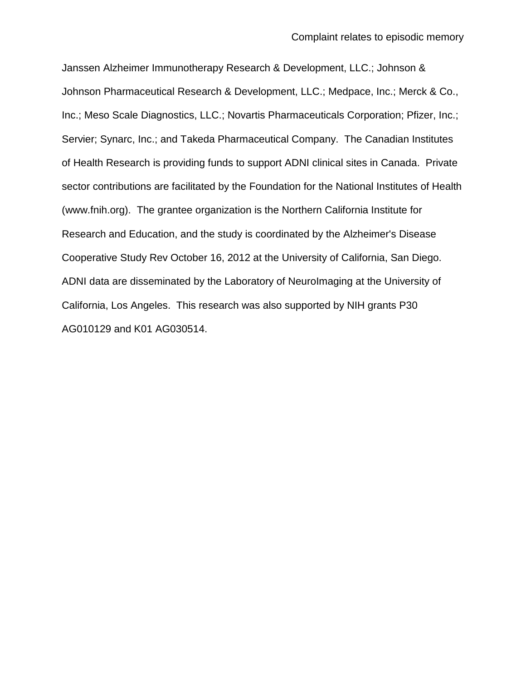Janssen Alzheimer Immunotherapy Research & Development, LLC.; Johnson & Johnson Pharmaceutical Research & Development, LLC.; Medpace, Inc.; Merck & Co., Inc.; Meso Scale Diagnostics, LLC.; Novartis Pharmaceuticals Corporation; Pfizer, Inc.; Servier; Synarc, Inc.; and Takeda Pharmaceutical Company. The Canadian Institutes of Health Research is providing funds to support ADNI clinical sites in Canada. Private sector contributions are facilitated by the Foundation for the National Institutes of Health (www.fnih.org). The grantee organization is the Northern California Institute for Research and Education, and the study is coordinated by the Alzheimer's Disease Cooperative Study Rev October 16, 2012 at the University of California, San Diego. ADNI data are disseminated by the Laboratory of NeuroImaging at the University of California, Los Angeles. This research was also supported by NIH grants P30 AG010129 and K01 AG030514.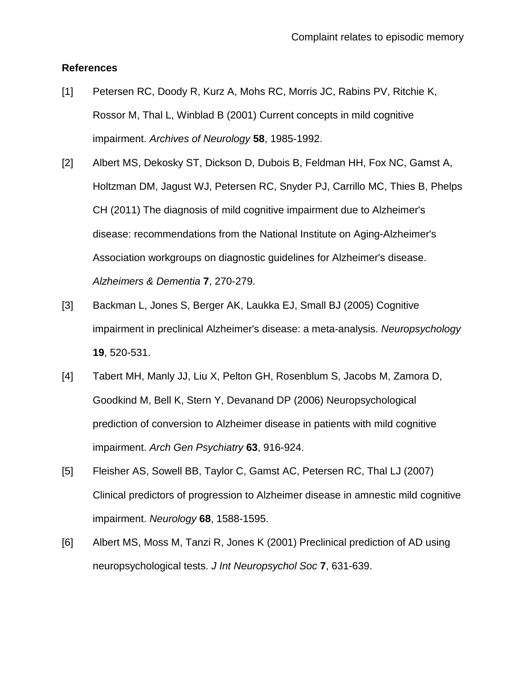## **References**

- <span id="page-21-0"></span>[1] Petersen RC, Doody R, Kurz A, Mohs RC, Morris JC, Rabins PV, Ritchie K, Rossor M, Thal L, Winblad B (2001) Current concepts in mild cognitive impairment. *Archives of Neurology* **58**, 1985-1992.
- <span id="page-21-1"></span>[2] Albert MS, Dekosky ST, Dickson D, Dubois B, Feldman HH, Fox NC, Gamst A, Holtzman DM, Jagust WJ, Petersen RC, Snyder PJ, Carrillo MC, Thies B, Phelps CH (2011) The diagnosis of mild cognitive impairment due to Alzheimer's disease: recommendations from the National Institute on Aging-Alzheimer's Association workgroups on diagnostic guidelines for Alzheimer's disease. *Alzheimers & Dementia* **7**, 270-279.
- <span id="page-21-2"></span>[3] Backman L, Jones S, Berger AK, Laukka EJ, Small BJ (2005) Cognitive impairment in preclinical Alzheimer's disease: a meta-analysis. *Neuropsychology* **19**, 520-531.
- [4] Tabert MH, Manly JJ, Liu X, Pelton GH, Rosenblum S, Jacobs M, Zamora D, Goodkind M, Bell K, Stern Y, Devanand DP (2006) Neuropsychological prediction of conversion to Alzheimer disease in patients with mild cognitive impairment. *Arch Gen Psychiatry* **63**, 916-924.
- [5] Fleisher AS, Sowell BB, Taylor C, Gamst AC, Petersen RC, Thal LJ (2007) Clinical predictors of progression to Alzheimer disease in amnestic mild cognitive impairment. *Neurology* **68**, 1588-1595.
- <span id="page-21-3"></span>[6] Albert MS, Moss M, Tanzi R, Jones K (2001) Preclinical prediction of AD using neuropsychological tests. *J Int Neuropsychol Soc* **7**, 631-639.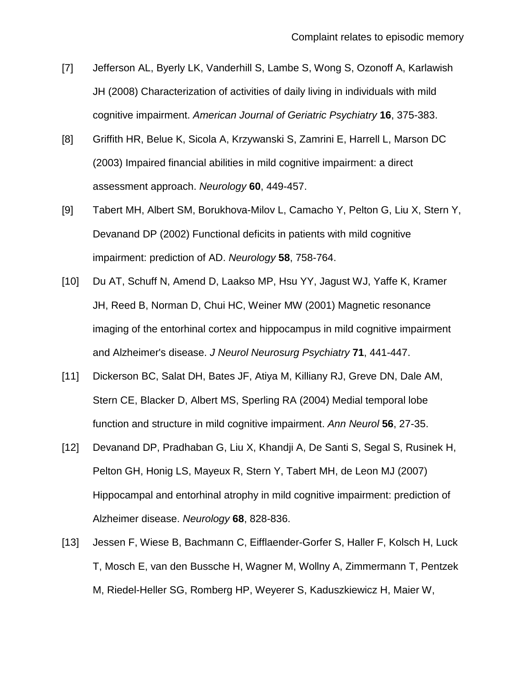- <span id="page-22-0"></span>[7] Jefferson AL, Byerly LK, Vanderhill S, Lambe S, Wong S, Ozonoff A, Karlawish JH (2008) Characterization of activities of daily living in individuals with mild cognitive impairment. *American Journal of Geriatric Psychiatry* **16**, 375-383.
- [8] Griffith HR, Belue K, Sicola A, Krzywanski S, Zamrini E, Harrell L, Marson DC (2003) Impaired financial abilities in mild cognitive impairment: a direct assessment approach. *Neurology* **60**, 449-457.
- [9] Tabert MH, Albert SM, Borukhova-Milov L, Camacho Y, Pelton G, Liu X, Stern Y, Devanand DP (2002) Functional deficits in patients with mild cognitive impairment: prediction of AD. *Neurology* **58**, 758-764.
- <span id="page-22-1"></span>[10] Du AT, Schuff N, Amend D, Laakso MP, Hsu YY, Jagust WJ, Yaffe K, Kramer JH, Reed B, Norman D, Chui HC, Weiner MW (2001) Magnetic resonance imaging of the entorhinal cortex and hippocampus in mild cognitive impairment and Alzheimer's disease. *J Neurol Neurosurg Psychiatry* **71**, 441-447.
- [11] Dickerson BC, Salat DH, Bates JF, Atiya M, Killiany RJ, Greve DN, Dale AM, Stern CE, Blacker D, Albert MS, Sperling RA (2004) Medial temporal lobe function and structure in mild cognitive impairment. *Ann Neurol* **56**, 27-35.
- [12] Devanand DP, Pradhaban G, Liu X, Khandji A, De Santi S, Segal S, Rusinek H, Pelton GH, Honig LS, Mayeux R, Stern Y, Tabert MH, de Leon MJ (2007) Hippocampal and entorhinal atrophy in mild cognitive impairment: prediction of Alzheimer disease. *Neurology* **68**, 828-836.
- <span id="page-22-2"></span>[13] Jessen F, Wiese B, Bachmann C, Eifflaender-Gorfer S, Haller F, Kolsch H, Luck T, Mosch E, van den Bussche H, Wagner M, Wollny A, Zimmermann T, Pentzek M, Riedel-Heller SG, Romberg HP, Weyerer S, Kaduszkiewicz H, Maier W,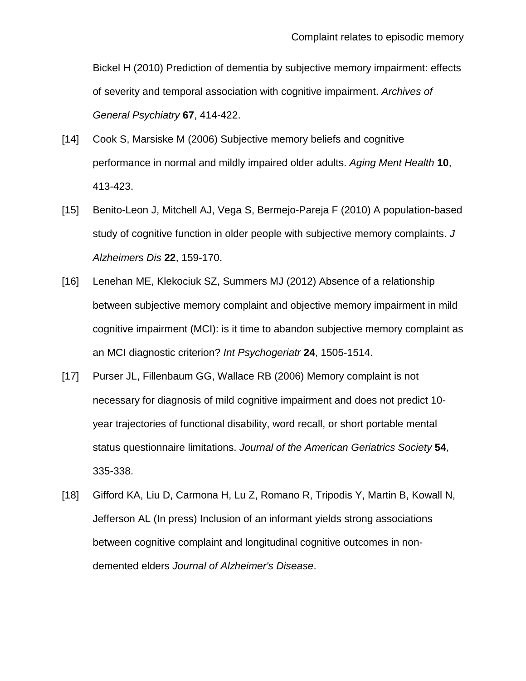Bickel H (2010) Prediction of dementia by subjective memory impairment: effects of severity and temporal association with cognitive impairment. *Archives of General Psychiatry* **67**, 414-422.

- <span id="page-23-0"></span>[14] Cook S, Marsiske M (2006) Subjective memory beliefs and cognitive performance in normal and mildly impaired older adults. *Aging Ment Health* **10**, 413-423.
- <span id="page-23-1"></span>[15] Benito-Leon J, Mitchell AJ, Vega S, Bermejo-Pareja F (2010) A population-based study of cognitive function in older people with subjective memory complaints. *J Alzheimers Dis* **22**, 159-170.
- <span id="page-23-2"></span>[16] Lenehan ME, Klekociuk SZ, Summers MJ (2012) Absence of a relationship between subjective memory complaint and objective memory impairment in mild cognitive impairment (MCI): is it time to abandon subjective memory complaint as an MCI diagnostic criterion? *Int Psychogeriatr* **24**, 1505-1514.
- <span id="page-23-3"></span>[17] Purser JL, Fillenbaum GG, Wallace RB (2006) Memory complaint is not necessary for diagnosis of mild cognitive impairment and does not predict 10 year trajectories of functional disability, word recall, or short portable mental status questionnaire limitations. *Journal of the American Geriatrics Society* **54**, 335-338.
- <span id="page-23-4"></span>[18] Gifford KA, Liu D, Carmona H, Lu Z, Romano R, Tripodis Y, Martin B, Kowall N, Jefferson AL (In press) Inclusion of an informant yields strong associations between cognitive complaint and longitudinal cognitive outcomes in nondemented elders *Journal of Alzheimer's Disease*.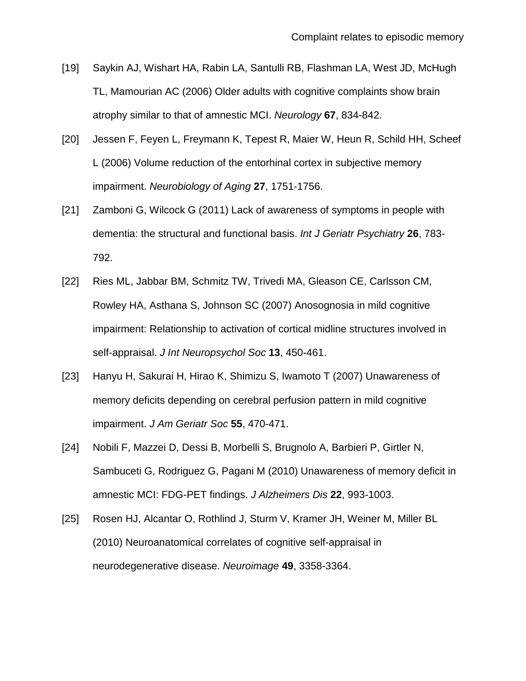- <span id="page-24-0"></span>[19] Saykin AJ, Wishart HA, Rabin LA, Santulli RB, Flashman LA, West JD, McHugh TL, Mamourian AC (2006) Older adults with cognitive complaints show brain atrophy similar to that of amnestic MCI. *Neurology* **67**, 834-842.
- <span id="page-24-1"></span>[20] Jessen F, Feyen L, Freymann K, Tepest R, Maier W, Heun R, Schild HH, Scheef L (2006) Volume reduction of the entorhinal cortex in subjective memory impairment. *Neurobiology of Aging* **27**, 1751-1756.
- <span id="page-24-2"></span>[21] Zamboni G, Wilcock G (2011) Lack of awareness of symptoms in people with dementia: the structural and functional basis. *Int J Geriatr Psychiatry* **26**, 783- 792.
- <span id="page-24-3"></span>[22] Ries ML, Jabbar BM, Schmitz TW, Trivedi MA, Gleason CE, Carlsson CM, Rowley HA, Asthana S, Johnson SC (2007) Anosognosia in mild cognitive impairment: Relationship to activation of cortical midline structures involved in self-appraisal. *J Int Neuropsychol Soc* **13**, 450-461.
- <span id="page-24-4"></span>[23] Hanyu H, Sakurai H, Hirao K, Shimizu S, Iwamoto T (2007) Unawareness of memory deficits depending on cerebral perfusion pattern in mild cognitive impairment. *J Am Geriatr Soc* **55**, 470-471.
- <span id="page-24-5"></span>[24] Nobili F, Mazzei D, Dessi B, Morbelli S, Brugnolo A, Barbieri P, Girtler N, Sambuceti G, Rodriguez G, Pagani M (2010) Unawareness of memory deficit in amnestic MCI: FDG-PET findings. *J Alzheimers Dis* **22**, 993-1003.
- <span id="page-24-6"></span>[25] Rosen HJ, Alcantar O, Rothlind J, Sturm V, Kramer JH, Weiner M, Miller BL (2010) Neuroanatomical correlates of cognitive self-appraisal in neurodegenerative disease. *Neuroimage* **49**, 3358-3364.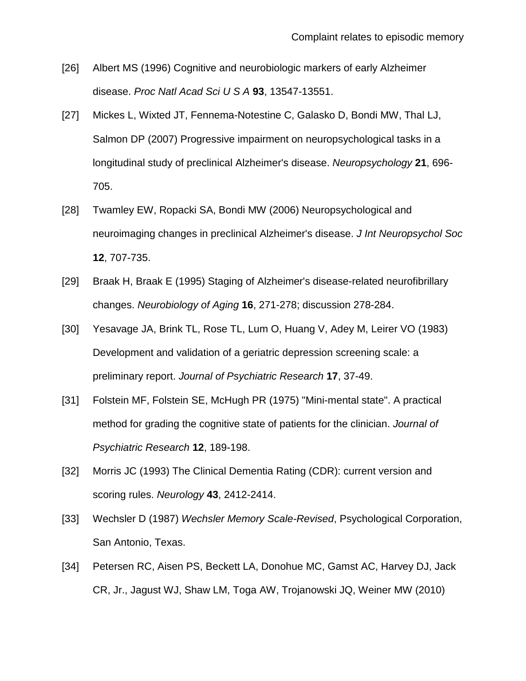- <span id="page-25-0"></span>[26] Albert MS (1996) Cognitive and neurobiologic markers of early Alzheimer disease. *Proc Natl Acad Sci U S A* **93**, 13547-13551.
- <span id="page-25-1"></span>[27] Mickes L, Wixted JT, Fennema-Notestine C, Galasko D, Bondi MW, Thal LJ, Salmon DP (2007) Progressive impairment on neuropsychological tasks in a longitudinal study of preclinical Alzheimer's disease. *Neuropsychology* **21**, 696- 705.
- <span id="page-25-2"></span>[28] Twamley EW, Ropacki SA, Bondi MW (2006) Neuropsychological and neuroimaging changes in preclinical Alzheimer's disease. *J Int Neuropsychol Soc* **12**, 707-735.
- <span id="page-25-3"></span>[29] Braak H, Braak E (1995) Staging of Alzheimer's disease-related neurofibrillary changes. *Neurobiology of Aging* **16**, 271-278; discussion 278-284.
- <span id="page-25-4"></span>[30] Yesavage JA, Brink TL, Rose TL, Lum O, Huang V, Adey M, Leirer VO (1983) Development and validation of a geriatric depression screening scale: a preliminary report. *Journal of Psychiatric Research* **17**, 37-49.
- <span id="page-25-5"></span>[31] Folstein MF, Folstein SE, McHugh PR (1975) "Mini-mental state". A practical method for grading the cognitive state of patients for the clinician. *Journal of Psychiatric Research* **12**, 189-198.
- <span id="page-25-6"></span>[32] Morris JC (1993) The Clinical Dementia Rating (CDR): current version and scoring rules. *Neurology* **43**, 2412-2414.
- <span id="page-25-7"></span>[33] Wechsler D (1987) *Wechsler Memory Scale-Revised*, Psychological Corporation, San Antonio, Texas.
- <span id="page-25-8"></span>[34] Petersen RC, Aisen PS, Beckett LA, Donohue MC, Gamst AC, Harvey DJ, Jack CR, Jr., Jagust WJ, Shaw LM, Toga AW, Trojanowski JQ, Weiner MW (2010)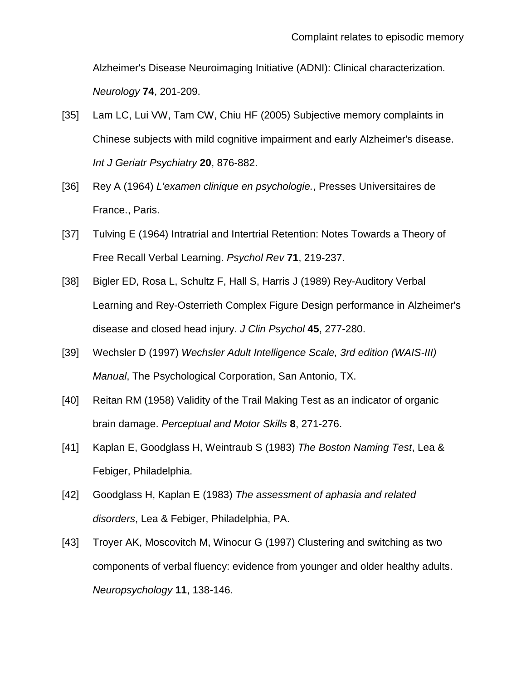Alzheimer's Disease Neuroimaging Initiative (ADNI): Clinical characterization. *Neurology* **74**, 201-209.

- <span id="page-26-0"></span>[35] Lam LC, Lui VW, Tam CW, Chiu HF (2005) Subjective memory complaints in Chinese subjects with mild cognitive impairment and early Alzheimer's disease. *Int J Geriatr Psychiatry* **20**, 876-882.
- <span id="page-26-1"></span>[36] Rey A (1964) *L'examen clinique en psychologie.*, Presses Universitaires de France., Paris.
- <span id="page-26-2"></span>[37] Tulving E (1964) Intratrial and Intertrial Retention: Notes Towards a Theory of Free Recall Verbal Learning. *Psychol Rev* **71**, 219-237.
- <span id="page-26-3"></span>[38] Bigler ED, Rosa L, Schultz F, Hall S, Harris J (1989) Rey-Auditory Verbal Learning and Rey-Osterrieth Complex Figure Design performance in Alzheimer's disease and closed head injury. *J Clin Psychol* **45**, 277-280.
- <span id="page-26-4"></span>[39] Wechsler D (1997) *Wechsler Adult Intelligence Scale, 3rd edition (WAIS-III) Manual*, The Psychological Corporation, San Antonio, TX.
- <span id="page-26-5"></span>[40] Reitan RM (1958) Validity of the Trail Making Test as an indicator of organic brain damage. *Perceptual and Motor Skills* **8**, 271-276.
- <span id="page-26-6"></span>[41] Kaplan E, Goodglass H, Weintraub S (1983) *The Boston Naming Test*, Lea & Febiger, Philadelphia.
- <span id="page-26-7"></span>[42] Goodglass H, Kaplan E (1983) *The assessment of aphasia and related disorders*, Lea & Febiger, Philadelphia, PA.
- <span id="page-26-8"></span>[43] Troyer AK, Moscovitch M, Winocur G (1997) Clustering and switching as two components of verbal fluency: evidence from younger and older healthy adults. *Neuropsychology* **11**, 138-146.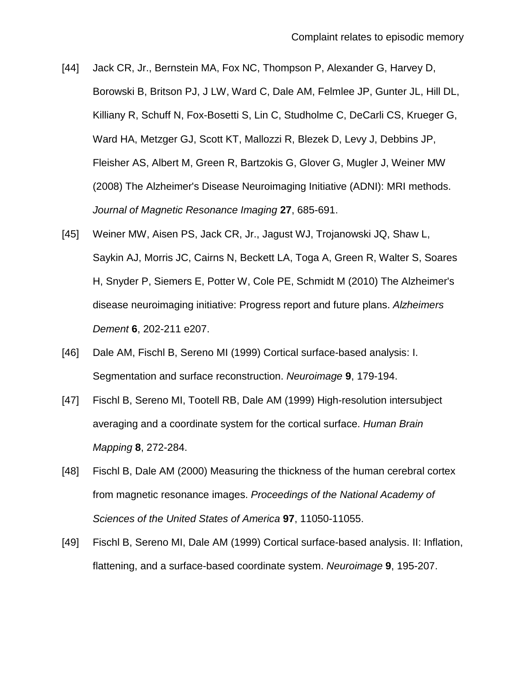- <span id="page-27-0"></span>[44] Jack CR, Jr., Bernstein MA, Fox NC, Thompson P, Alexander G, Harvey D, Borowski B, Britson PJ, J LW, Ward C, Dale AM, Felmlee JP, Gunter JL, Hill DL, Killiany R, Schuff N, Fox-Bosetti S, Lin C, Studholme C, DeCarli CS, Krueger G, Ward HA, Metzger GJ, Scott KT, Mallozzi R, Blezek D, Levy J, Debbins JP, Fleisher AS, Albert M, Green R, Bartzokis G, Glover G, Mugler J, Weiner MW (2008) The Alzheimer's Disease Neuroimaging Initiative (ADNI): MRI methods. *Journal of Magnetic Resonance Imaging* **27**, 685-691.
- <span id="page-27-1"></span>[45] Weiner MW, Aisen PS, Jack CR, Jr., Jagust WJ, Trojanowski JQ, Shaw L, Saykin AJ, Morris JC, Cairns N, Beckett LA, Toga A, Green R, Walter S, Soares H, Snyder P, Siemers E, Potter W, Cole PE, Schmidt M (2010) The Alzheimer's disease neuroimaging initiative: Progress report and future plans. *Alzheimers Dement* **6**, 202-211 e207.
- <span id="page-27-2"></span>[46] Dale AM, Fischl B, Sereno MI (1999) Cortical surface-based analysis: I. Segmentation and surface reconstruction. *Neuroimage* **9**, 179-194.
- <span id="page-27-3"></span>[47] Fischl B, Sereno MI, Tootell RB, Dale AM (1999) High-resolution intersubject averaging and a coordinate system for the cortical surface. *Human Brain Mapping* **8**, 272-284.
- <span id="page-27-4"></span>[48] Fischl B, Dale AM (2000) Measuring the thickness of the human cerebral cortex from magnetic resonance images. *Proceedings of the National Academy of Sciences of the United States of America* **97**, 11050-11055.
- <span id="page-27-5"></span>[49] Fischl B, Sereno MI, Dale AM (1999) Cortical surface-based analysis. II: Inflation, flattening, and a surface-based coordinate system. *Neuroimage* **9**, 195-207.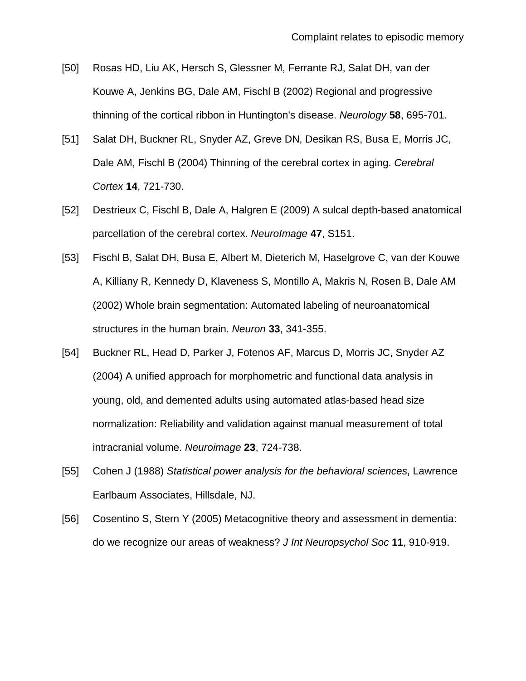- <span id="page-28-0"></span>[50] Rosas HD, Liu AK, Hersch S, Glessner M, Ferrante RJ, Salat DH, van der Kouwe A, Jenkins BG, Dale AM, Fischl B (2002) Regional and progressive thinning of the cortical ribbon in Huntington's disease. *Neurology* **58**, 695-701.
- <span id="page-28-1"></span>[51] Salat DH, Buckner RL, Snyder AZ, Greve DN, Desikan RS, Busa E, Morris JC, Dale AM, Fischl B (2004) Thinning of the cerebral cortex in aging. *Cerebral Cortex* **14**, 721-730.
- <span id="page-28-2"></span>[52] Destrieux C, Fischl B, Dale A, Halgren E (2009) A sulcal depth-based anatomical parcellation of the cerebral cortex. *NeuroImage* **47**, S151.
- <span id="page-28-3"></span>[53] Fischl B, Salat DH, Busa E, Albert M, Dieterich M, Haselgrove C, van der Kouwe A, Killiany R, Kennedy D, Klaveness S, Montillo A, Makris N, Rosen B, Dale AM (2002) Whole brain segmentation: Automated labeling of neuroanatomical structures in the human brain. *Neuron* **33**, 341-355.
- <span id="page-28-4"></span>[54] Buckner RL, Head D, Parker J, Fotenos AF, Marcus D, Morris JC, Snyder AZ (2004) A unified approach for morphometric and functional data analysis in young, old, and demented adults using automated atlas-based head size normalization: Reliability and validation against manual measurement of total intracranial volume. *Neuroimage* **23**, 724-738.
- <span id="page-28-5"></span>[55] Cohen J (1988) *Statistical power analysis for the behavioral sciences*, Lawrence Earlbaum Associates, Hillsdale, NJ.
- <span id="page-28-6"></span>[56] Cosentino S, Stern Y (2005) Metacognitive theory and assessment in dementia: do we recognize our areas of weakness? *J Int Neuropsychol Soc* **11**, 910-919.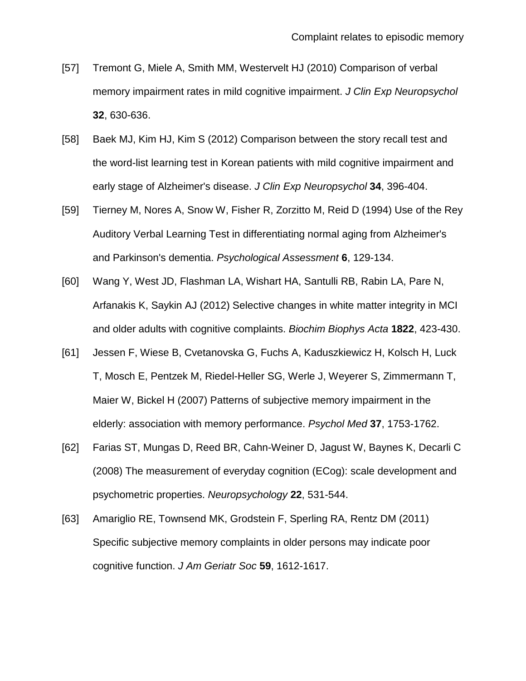- <span id="page-29-0"></span>[57] Tremont G, Miele A, Smith MM, Westervelt HJ (2010) Comparison of verbal memory impairment rates in mild cognitive impairment. *J Clin Exp Neuropsychol* **32**, 630-636.
- <span id="page-29-1"></span>[58] Baek MJ, Kim HJ, Kim S (2012) Comparison between the story recall test and the word-list learning test in Korean patients with mild cognitive impairment and early stage of Alzheimer's disease. *J Clin Exp Neuropsychol* **34**, 396-404.
- <span id="page-29-2"></span>[59] Tierney M, Nores A, Snow W, Fisher R, Zorzitto M, Reid D (1994) Use of the Rey Auditory Verbal Learning Test in differentiating normal aging from Alzheimer's and Parkinson's dementia. *Psychological Assessment* **6**, 129-134.
- <span id="page-29-3"></span>[60] Wang Y, West JD, Flashman LA, Wishart HA, Santulli RB, Rabin LA, Pare N, Arfanakis K, Saykin AJ (2012) Selective changes in white matter integrity in MCI and older adults with cognitive complaints. *Biochim Biophys Acta* **1822**, 423-430.
- <span id="page-29-4"></span>[61] Jessen F, Wiese B, Cvetanovska G, Fuchs A, Kaduszkiewicz H, Kolsch H, Luck T, Mosch E, Pentzek M, Riedel-Heller SG, Werle J, Weyerer S, Zimmermann T, Maier W, Bickel H (2007) Patterns of subjective memory impairment in the elderly: association with memory performance. *Psychol Med* **37**, 1753-1762.
- <span id="page-29-5"></span>[62] Farias ST, Mungas D, Reed BR, Cahn-Weiner D, Jagust W, Baynes K, Decarli C (2008) The measurement of everyday cognition (ECog): scale development and psychometric properties. *Neuropsychology* **22**, 531-544.
- <span id="page-29-6"></span>[63] Amariglio RE, Townsend MK, Grodstein F, Sperling RA, Rentz DM (2011) Specific subjective memory complaints in older persons may indicate poor cognitive function. *J Am Geriatr Soc* **59**, 1612-1617.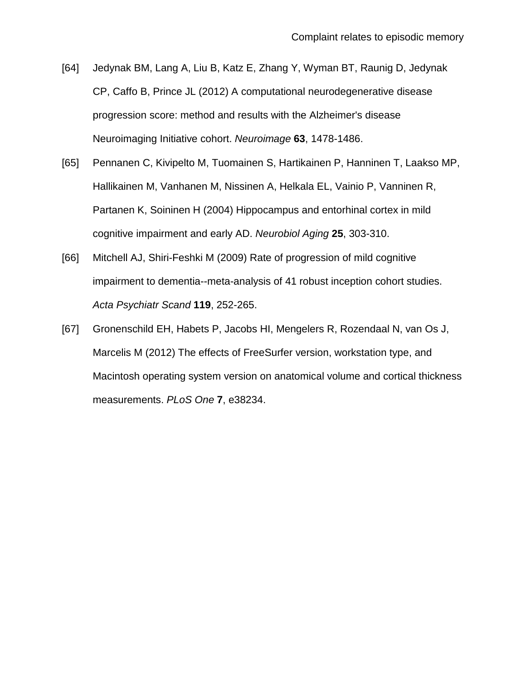- <span id="page-30-0"></span>[64] Jedynak BM, Lang A, Liu B, Katz E, Zhang Y, Wyman BT, Raunig D, Jedynak CP, Caffo B, Prince JL (2012) A computational neurodegenerative disease progression score: method and results with the Alzheimer's disease Neuroimaging Initiative cohort. *Neuroimage* **63**, 1478-1486.
- <span id="page-30-1"></span>[65] Pennanen C, Kivipelto M, Tuomainen S, Hartikainen P, Hanninen T, Laakso MP, Hallikainen M, Vanhanen M, Nissinen A, Helkala EL, Vainio P, Vanninen R, Partanen K, Soininen H (2004) Hippocampus and entorhinal cortex in mild cognitive impairment and early AD. *Neurobiol Aging* **25**, 303-310.
- <span id="page-30-2"></span>[66] Mitchell AJ, Shiri-Feshki M (2009) Rate of progression of mild cognitive impairment to dementia--meta-analysis of 41 robust inception cohort studies. *Acta Psychiatr Scand* **119**, 252-265.
- <span id="page-30-3"></span>[67] Gronenschild EH, Habets P, Jacobs HI, Mengelers R, Rozendaal N, van Os J, Marcelis M (2012) The effects of FreeSurfer version, workstation type, and Macintosh operating system version on anatomical volume and cortical thickness measurements. *PLoS One* **7**, e38234.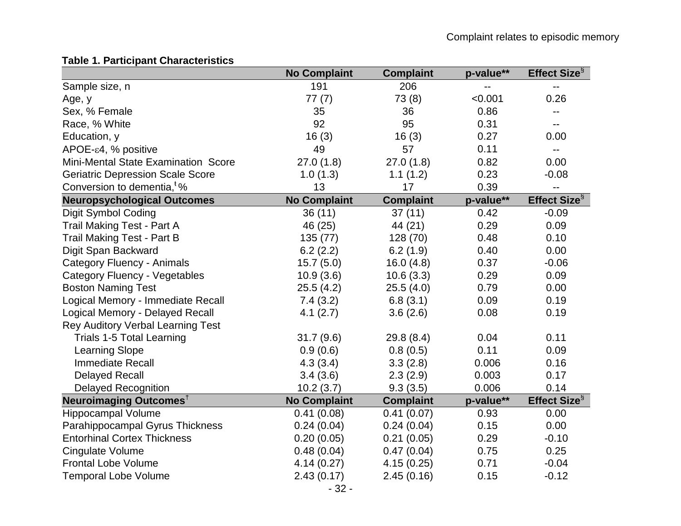# **Table 1. Participant Characteristics**

|                                          | <b>No Complaint</b> | <b>Complaint</b> | p-value** | Effect Size <sup>§</sup> |
|------------------------------------------|---------------------|------------------|-----------|--------------------------|
| Sample size, n                           | 191                 | 206              | --        | ۰.                       |
| Age, y                                   | 77(7)               | 73(8)            | < 0.001   | 0.26                     |
| Sex, % Female                            | 35                  | 36               | 0.86      |                          |
| Race, % White                            | 92                  | 95               | 0.31      | --                       |
| Education, y                             | 16(3)               | 16(3)            | 0.27      | 0.00                     |
| $APOE-ε4, % positive$                    | 49                  | 57               | 0.11      | $\overline{\phantom{a}}$ |
| Mini-Mental State Examination Score      | 27.0(1.8)           | 27.0(1.8)        | 0.82      | 0.00                     |
| <b>Geriatric Depression Scale Score</b>  | 1.0(1.3)            | 1.1(1.2)         | 0.23      | $-0.08$                  |
| Conversion to dementia, <sup>t</sup> %   | 13                  | 17               | 0.39      | $\overline{\phantom{a}}$ |
| <b>Neuropsychological Outcomes</b>       | <b>No Complaint</b> | <b>Complaint</b> | p-value** | Effect Size $\S$         |
| Digit Symbol Coding                      | 36(11)              | 37(11)           | 0.42      | $-0.09$                  |
| <b>Trail Making Test - Part A</b>        | 46 (25)             | 44 (21)          | 0.29      | 0.09                     |
| <b>Trail Making Test - Part B</b>        | 135 (77)            | 128 (70)         | 0.48      | 0.10                     |
| Digit Span Backward                      | 6.2(2.2)            | 6.2(1.9)         | 0.40      | 0.00                     |
| <b>Category Fluency - Animals</b>        | 15.7(5.0)           | 16.0(4.8)        | 0.37      | $-0.06$                  |
| <b>Category Fluency - Vegetables</b>     | 10.9(3.6)           | 10.6(3.3)        | 0.29      | 0.09                     |
| <b>Boston Naming Test</b>                | 25.5(4.2)           | 25.5(4.0)        | 0.79      | 0.00                     |
| Logical Memory - Immediate Recall        | 7.4(3.2)            | 6.8(3.1)         | 0.09      | 0.19                     |
| Logical Memory - Delayed Recall          | 4.1(2.7)            | 3.6(2.6)         | 0.08      | 0.19                     |
| <b>Rey Auditory Verbal Learning Test</b> |                     |                  |           |                          |
| <b>Trials 1-5 Total Learning</b>         | 31.7(9.6)           | 29.8(8.4)        | 0.04      | 0.11                     |
| <b>Learning Slope</b>                    | 0.9(0.6)            | 0.8(0.5)         | 0.11      | 0.09                     |
| <b>Immediate Recall</b>                  | 4.3(3.4)            | 3.3(2.8)         | 0.006     | 0.16                     |
| <b>Delayed Recall</b>                    | 3.4(3.6)            | 2.3(2.9)         | 0.003     | 0.17                     |
| <b>Delayed Recognition</b>               | 10.2(3.7)           | 9.3(3.5)         | 0.006     | 0.14                     |
| Neuroimaging Outcomes <sup>†</sup>       | <b>No Complaint</b> | <b>Complaint</b> | p-value** | Effect Size <sup>§</sup> |
| Hippocampal Volume                       | 0.41(0.08)          | 0.41(0.07)       | 0.93      | 0.00                     |
| Parahippocampal Gyrus Thickness          | 0.24(0.04)          | 0.24(0.04)       | 0.15      | 0.00                     |
| <b>Entorhinal Cortex Thickness</b>       | 0.20(0.05)          | 0.21(0.05)       | 0.29      | $-0.10$                  |
| <b>Cingulate Volume</b>                  | 0.48(0.04)          | 0.47(0.04)       | 0.75      | 0.25                     |
| <b>Frontal Lobe Volume</b>               | 4.14(0.27)          | 4.15(0.25)       | 0.71      | $-0.04$                  |
| <b>Temporal Lobe Volume</b>              | 2.43(0.17)          | 2.45(0.16)       | 0.15      | $-0.12$                  |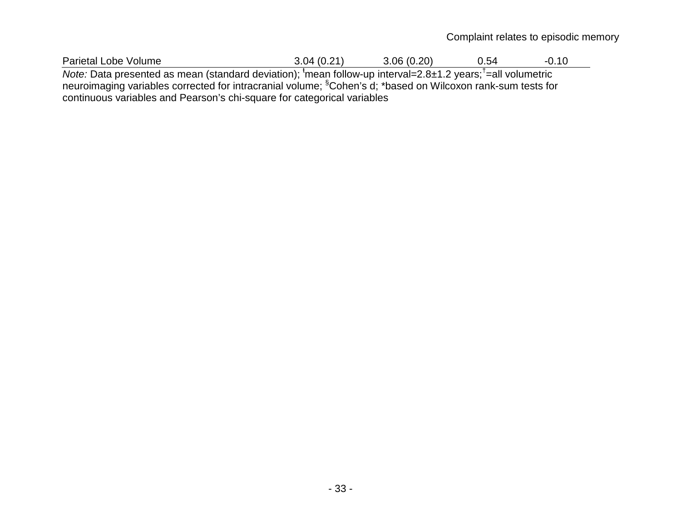Complaint relates to episodic memory

| Parietal<br>volume<br>∟obe | ` з л<br>14<br>. . <i>. .</i> . | (0.20)<br>.0۴ د | ∽∕∣<br>◡.◡ | $\overline{ }$<br>ึง. เบ |
|----------------------------|---------------------------------|-----------------|------------|--------------------------|
|                            |                                 |                 |            |                          |

Note: Data presented as mean (standard deviation); <sup>t</sup>mean follow-up interval=2.8±1.2 years;<sup>†</sup>=all volumetric neuroimaging variables corrected for intracranial volume; <sup>§</sup>Cohen's d; \*based on Wilcoxon rank-sum tests for continuous variables and Pearson's chi-square for categorical variables